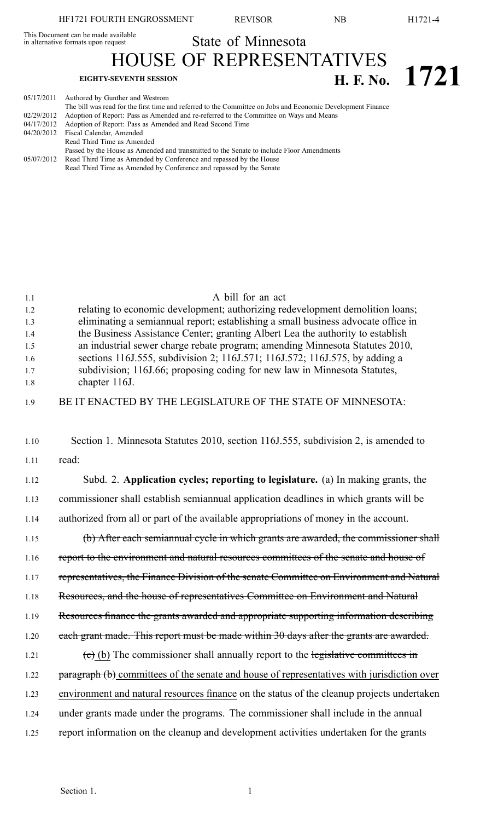State of Minnesota HOUSE OF REPRESENTATIVES

**EIGHTY-SEVENTH SESSION H. F. No. 1721** 

05/17/2011 Authored by Gunther and Westrom

| 03/17/2011 | Authored by Guilther and westfold                                                                           |
|------------|-------------------------------------------------------------------------------------------------------------|
|            | The bill was read for the first time and referred to the Committee on Jobs and Economic Development Finance |
| 02/29/2012 | Adoption of Report: Pass as Amended and re-referred to the Committee on Ways and Means                      |
| 04/17/2012 | Adoption of Report: Pass as Amended and Read Second Time                                                    |
|            | 04/20/2012 Fiscal Calendar, Amended                                                                         |
|            | Read Third Time as Amended                                                                                  |
|            | Passed by the House as Amended and transmitted to the Senate to include Floor Amendments                    |
| 05/07/2012 | Read Third Time as Amended by Conference and repassed by the House                                          |
|            | Read Third Time as Amended by Conference and repassed by the Senate                                         |
|            |                                                                                                             |
|            |                                                                                                             |

| 1.1<br>1.2<br>1.3<br>1.4<br>1.5<br>1.6<br>1.7<br>1.8 | A bill for an act<br>relating to economic development; authorizing redevelopment demolition loans;<br>eliminating a semiannual report; establishing a small business advocate office in<br>the Business Assistance Center; granting Albert Lea the authority to establish<br>an industrial sewer charge rebate program; amending Minnesota Statutes 2010,<br>sections 116J.555, subdivision 2; 116J.571; 116J.572; 116J.575, by adding a<br>subdivision; 116J.66; proposing coding for new law in Minnesota Statutes,<br>chapter 116J. |
|------------------------------------------------------|----------------------------------------------------------------------------------------------------------------------------------------------------------------------------------------------------------------------------------------------------------------------------------------------------------------------------------------------------------------------------------------------------------------------------------------------------------------------------------------------------------------------------------------|
| 1.9                                                  | BE IT ENACTED BY THE LEGISLATURE OF THE STATE OF MINNESOTA:                                                                                                                                                                                                                                                                                                                                                                                                                                                                            |
| 1.10<br>1.11                                         | Section 1. Minnesota Statutes 2010, section 116J.555, subdivision 2, is amended to<br>read:                                                                                                                                                                                                                                                                                                                                                                                                                                            |
| 1.12                                                 | Subd. 2. Application cycles; reporting to legislature. (a) In making grants, the                                                                                                                                                                                                                                                                                                                                                                                                                                                       |
| 1.13                                                 | commissioner shall establish semiannual application deadlines in which grants will be                                                                                                                                                                                                                                                                                                                                                                                                                                                  |
| 1.14                                                 | authorized from all or part of the available appropriations of money in the account.                                                                                                                                                                                                                                                                                                                                                                                                                                                   |
| 1.15                                                 | (b) After each semianmual cycle in which grants are awarded, the commissioner shall                                                                                                                                                                                                                                                                                                                                                                                                                                                    |
| 1.16                                                 | report to the environment and natural resources committees of the senate and house of                                                                                                                                                                                                                                                                                                                                                                                                                                                  |
| 1.17                                                 | representatives, the Finance Division of the senate Committee on Environment and Natural                                                                                                                                                                                                                                                                                                                                                                                                                                               |
| 1.18                                                 | Resources, and the house of representatives Committee on Environment and Natural                                                                                                                                                                                                                                                                                                                                                                                                                                                       |
| 1.19                                                 | Resources finance the grants awarded and appropriate supporting information describing                                                                                                                                                                                                                                                                                                                                                                                                                                                 |
| 1.20                                                 | each grant made. This report must be made within 30 days after the grants are awarded.                                                                                                                                                                                                                                                                                                                                                                                                                                                 |
| 1.21                                                 | $(e)$ (b) The commissioner shall annually report to the legislative committees in                                                                                                                                                                                                                                                                                                                                                                                                                                                      |
| 1.22                                                 | paragraph (b) committees of the senate and house of representatives with jurisdiction over                                                                                                                                                                                                                                                                                                                                                                                                                                             |
| 1.23                                                 | environment and natural resources finance on the status of the cleanup projects undertaken                                                                                                                                                                                                                                                                                                                                                                                                                                             |
| 1.24                                                 | under grants made under the programs. The commissioner shall include in the annual                                                                                                                                                                                                                                                                                                                                                                                                                                                     |
| 1.25                                                 | report information on the cleanup and development activities undertaken for the grants                                                                                                                                                                                                                                                                                                                                                                                                                                                 |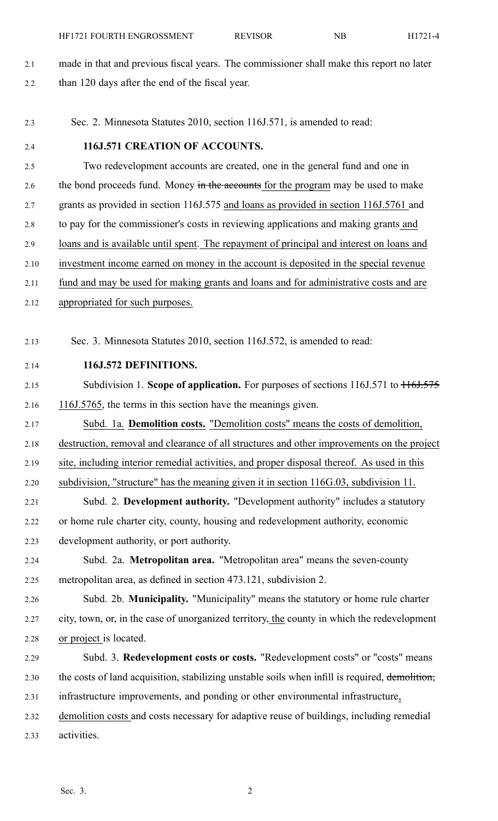- 2.1 made in that and previous fiscal years. The commissioner shall make this repor<sup>t</sup> no later 2.2 than 120 days after the end of the fiscal year.
- 2.3 Sec. 2. Minnesota Statutes 2010, section 116J.571, is amended to read:

## 2.4 **116J.571 CREATION OF ACCOUNTS.**

2.5 Two redevelopment accounts are created, one in the general fund and one in 2.6 the bond proceeds fund. Money in the accounts for the program may be used to make 2.7 grants as provided in section 116J.575 and loans as provided in section 116J.5761 and 2.8 to pay for the commissioner's costs in reviewing applications and making grants and 2.9 loans and is available until spent. The repaymen<sup>t</sup> of principal and interest on loans and 2.10 investment income earned on money in the account is deposited in the special revenue 2.11 fund and may be used for making grants and loans and for administrative costs and are 2.12 appropriated for such purposes.

2.13 Sec. 3. Minnesota Statutes 2010, section 116J.572, is amended to read:

- 2.14 **116J.572 DEFINITIONS.**
- 2.15 Subdivision 1. **Scope of application.** For purposes of sections 116J.571 to  $\frac{116J.575}{116J.575}$ 2.16 116J.5765, the terms in this section have the meanings given.
- 2.17 Subd. 1a. **Demolition costs.** "Demolition costs" means the costs of demolition, 2.18 destruction, removal and clearance of all structures and other improvements on the project 2.19 site, including interior remedial activities, and proper disposal thereof. As used in this
- 2.20 subdivision, "structure" has the meaning given it in section 116G.03, subdivision 11.

2.21 Subd. 2. **Development authority.** "Development authority" includes <sup>a</sup> statutory 2.22 or home rule charter city, county, housing and redevelopment authority, economic 2.23 development authority, or por<sup>t</sup> authority.

- 2.24 Subd. 2a. **Metropolitan area.** "Metropolitan area" means the seven-county 2.25 metropolitan area, as defined in section 473.121, subdivision 2.
- 2.26 Subd. 2b. **Municipality.** "Municipality" means the statutory or home rule charter 2.27 city, town, or, in the case of unorganized territory, the county in which the redevelopment 2.28 or project is located.
- 2.29 Subd. 3. **Redevelopment costs or costs.** "Redevelopment costs" or "costs" means 2.30 the costs of land acquisition, stabilizing unstable soils when infill is required, demolition, 2.31 infrastructure improvements, and ponding or other environmental infrastructure, 2.32 demolition costs and costs necessary for adaptive reuse of buildings, including remedial
- 2.33 activities.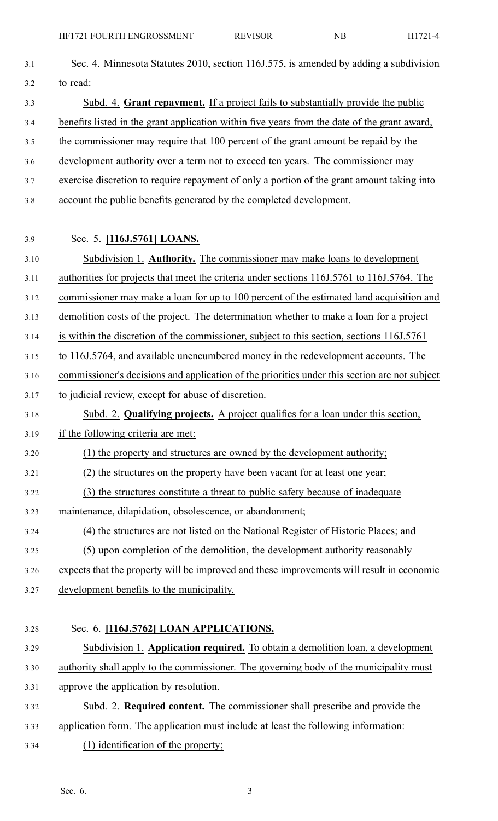| 3.1  | Sec. 4. Minnesota Statutes 2010, section 116J.575, is amended by adding a subdivision         |
|------|-----------------------------------------------------------------------------------------------|
| 3.2  | to read:                                                                                      |
| 3.3  | Subd. 4. Grant repayment. If a project fails to substantially provide the public              |
| 3.4  | benefits listed in the grant application within five years from the date of the grant award,  |
| 3.5  | the commissioner may require that 100 percent of the grant amount be repaid by the            |
| 3.6  | development authority over a term not to exceed ten years. The commissioner may               |
| 3.7  | exercise discretion to require repayment of only a portion of the grant amount taking into    |
| 3.8  | account the public benefits generated by the completed development.                           |
| 3.9  | Sec. 5. [116J.5761] LOANS.                                                                    |
| 3.10 | Subdivision 1. Authority. The commissioner may make loans to development                      |
| 3.11 | authorities for projects that meet the criteria under sections 116J.5761 to 116J.5764. The    |
| 3.12 | commissioner may make a loan for up to 100 percent of the estimated land acquisition and      |
| 3.13 | demolition costs of the project. The determination whether to make a loan for a project       |
| 3.14 | is within the discretion of the commissioner, subject to this section, sections 116J.5761     |
| 3.15 | to 116J.5764, and available unencumbered money in the redevelopment accounts. The             |
| 3.16 | commissioner's decisions and application of the priorities under this section are not subject |
| 3.17 | to judicial review, except for abuse of discretion.                                           |
|      | Subd. 2. Qualifying projects. A project qualifies for a loan under this section,              |
| 3.19 | if the following criteria are met:                                                            |
|      | (1) the property and structures are owned by the development authority;                       |
|      | (2) the structures on the property have been vacant for at least one year;                    |
|      | (3) the structures constitute a threat to public safety because of inadequate                 |
|      | maintenance, dilapidation, obsolescence, or abandonment;                                      |
| 3.24 | (4) the structures are not listed on the National Register of Historic Places; and            |
|      | (5) upon completion of the demolition, the development authority reasonably                   |
| 3.26 | expects that the property will be improved and these improvements will result in economic     |
| 3.27 | development benefits to the municipality.                                                     |
| 3.28 | Sec. 6. [116J.5762] LOAN APPLICATIONS.                                                        |
| 3.29 | Subdivision 1. Application required. To obtain a demolition loan, a development               |
| 3.30 | authority shall apply to the commissioner. The governing body of the municipality must        |
|      |                                                                                               |

- 3.31 approve the application by resolution.
- 3.32 Subd. 2. **Required content.** The commissioner shall prescribe and provide the 3.33 application form. The application must include at least the following information: 3.34 (1) identification of the property;
	- Sec. 6. 3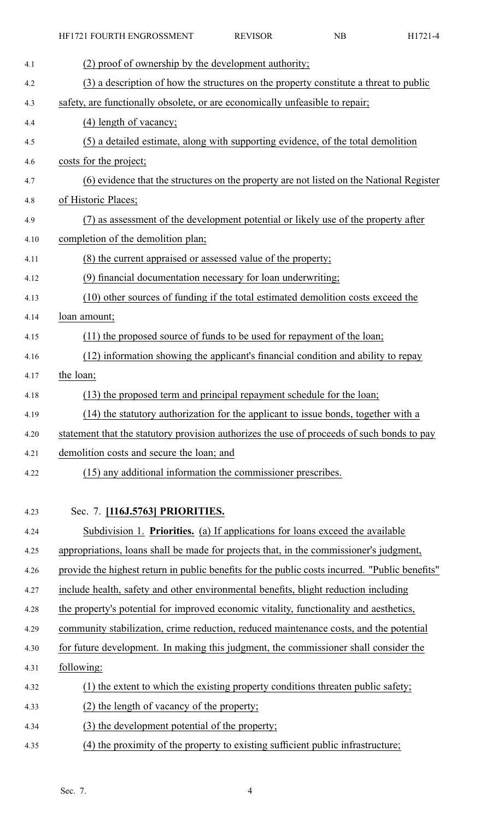| 4.1  | (2) proof of ownership by the development authority;                                           |
|------|------------------------------------------------------------------------------------------------|
| 4.2  | (3) a description of how the structures on the property constitute a threat to public          |
| 4.3  | safety, are functionally obsolete, or are economically unfeasible to repair;                   |
| 4.4  | (4) length of vacancy;                                                                         |
| 4.5  | (5) a detailed estimate, along with supporting evidence, of the total demolition               |
| 4.6  | costs for the project;                                                                         |
| 4.7  | (6) evidence that the structures on the property are not listed on the National Register       |
| 4.8  | of Historic Places;                                                                            |
| 4.9  | (7) as assessment of the development potential or likely use of the property after             |
| 4.10 | completion of the demolition plan;                                                             |
| 4.11 | (8) the current appraised or assessed value of the property;                                   |
| 4.12 | (9) financial documentation necessary for loan underwriting;                                   |
| 4.13 | (10) other sources of funding if the total estimated demolition costs exceed the               |
| 4.14 | loan amount;                                                                                   |
| 4.15 | (11) the proposed source of funds to be used for repayment of the loan;                        |
| 4.16 | (12) information showing the applicant's financial condition and ability to repay              |
| 4.17 | the loan;                                                                                      |
| 4.18 | (13) the proposed term and principal repayment schedule for the loan;                          |
| 4.19 | $(14)$ the statutory authorization for the applicant to issue bonds, together with a           |
| 4.20 | statement that the statutory provision authorizes the use of proceeds of such bonds to pay     |
| 4.21 | demolition costs and secure the loan; and                                                      |
| 4.22 | (15) any additional information the commissioner prescribes.                                   |
|      |                                                                                                |
| 4.23 | Sec. 7. [116J.5763] PRIORITIES.                                                                |
| 4.24 | Subdivision 1. Priorities. (a) If applications for loans exceed the available                  |
| 4.25 | appropriations, loans shall be made for projects that, in the commissioner's judgment,         |
| 4.26 | provide the highest return in public benefits for the public costs incurred. "Public benefits" |
| 4.27 | include health, safety and other environmental benefits, blight reduction including            |
| 4.28 | the property's potential for improved economic vitality, functionality and aesthetics,         |
| 4.29 | community stabilization, crime reduction, reduced maintenance costs, and the potential         |
| 4.30 | for future development. In making this judgment, the commissioner shall consider the           |
| 4.31 | following:                                                                                     |
| 4.32 | (1) the extent to which the existing property conditions threaten public safety;               |
| 4.33 | (2) the length of vacancy of the property;                                                     |
| 4.34 | (3) the development potential of the property;                                                 |
| 4.35 | (4) the proximity of the property to existing sufficient public infrastructure;                |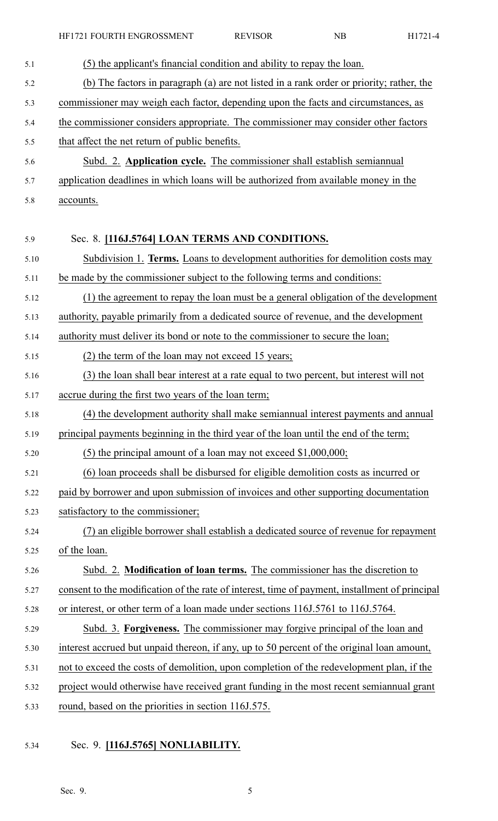| 5.1  | (5) the applicant's financial condition and ability to repay the loan.                         |
|------|------------------------------------------------------------------------------------------------|
| 5.2  | (b) The factors in paragraph (a) are not listed in a rank order or priority; rather, the       |
| 5.3  | commissioner may weigh each factor, depending upon the facts and circumstances, as             |
| 5.4  | the commissioner considers appropriate. The commissioner may consider other factors            |
| 5.5  | that affect the net return of public benefits.                                                 |
| 5.6  | Subd. 2. Application cycle. The commissioner shall establish semiannual                        |
| 5.7  | application deadlines in which loans will be authorized from available money in the            |
| 5.8  | accounts.                                                                                      |
|      |                                                                                                |
| 5.9  | Sec. 8. [116J.5764] LOAN TERMS AND CONDITIONS.                                                 |
| 5.10 | Subdivision 1. Terms. Loans to development authorities for demolition costs may                |
| 5.11 | be made by the commissioner subject to the following terms and conditions:                     |
| 5.12 | (1) the agreement to repay the loan must be a general obligation of the development            |
| 5.13 | authority, payable primarily from a dedicated source of revenue, and the development           |
| 5.14 | authority must deliver its bond or note to the commissioner to secure the loan;                |
| 5.15 | (2) the term of the loan may not exceed 15 years;                                              |
| 5.16 | (3) the loan shall bear interest at a rate equal to two percent, but interest will not         |
| 5.17 | accrue during the first two years of the loan term;                                            |
| 5.18 | (4) the development authority shall make semiannual interest payments and annual               |
| 5.19 | principal payments beginning in the third year of the loan until the end of the term;          |
| 5.20 | (5) the principal amount of a loan may not exceed $$1,000,000;$                                |
| 5.21 | (6) loan proceeds shall be disbursed for eligible demolition costs as incurred or              |
| 5.22 | paid by borrower and upon submission of invoices and other supporting documentation            |
| 5.23 | satisfactory to the commissioner;                                                              |
| 5.24 | (7) an eligible borrower shall establish a dedicated source of revenue for repayment           |
| 5.25 | of the loan.                                                                                   |
| 5.26 | Subd. 2. Modification of loan terms. The commissioner has the discretion to                    |
| 5.27 | consent to the modification of the rate of interest, time of payment, installment of principal |
| 5.28 | or interest, or other term of a loan made under sections 116J.5761 to 116J.5764.               |
| 5.29 | Subd. 3. Forgiveness. The commissioner may forgive principal of the loan and                   |
| 5.30 | interest accrued but unpaid thereon, if any, up to 50 percent of the original loan amount,     |
| 5.31 | not to exceed the costs of demolition, upon completion of the redevelopment plan, if the       |
| 5.32 | project would otherwise have received grant funding in the most recent semiannual grant        |
| 5.33 | round, based on the priorities in section 116J.575.                                            |
|      |                                                                                                |

5.34 Sec. 9. **[116J.5765] NONLIABILITY.**